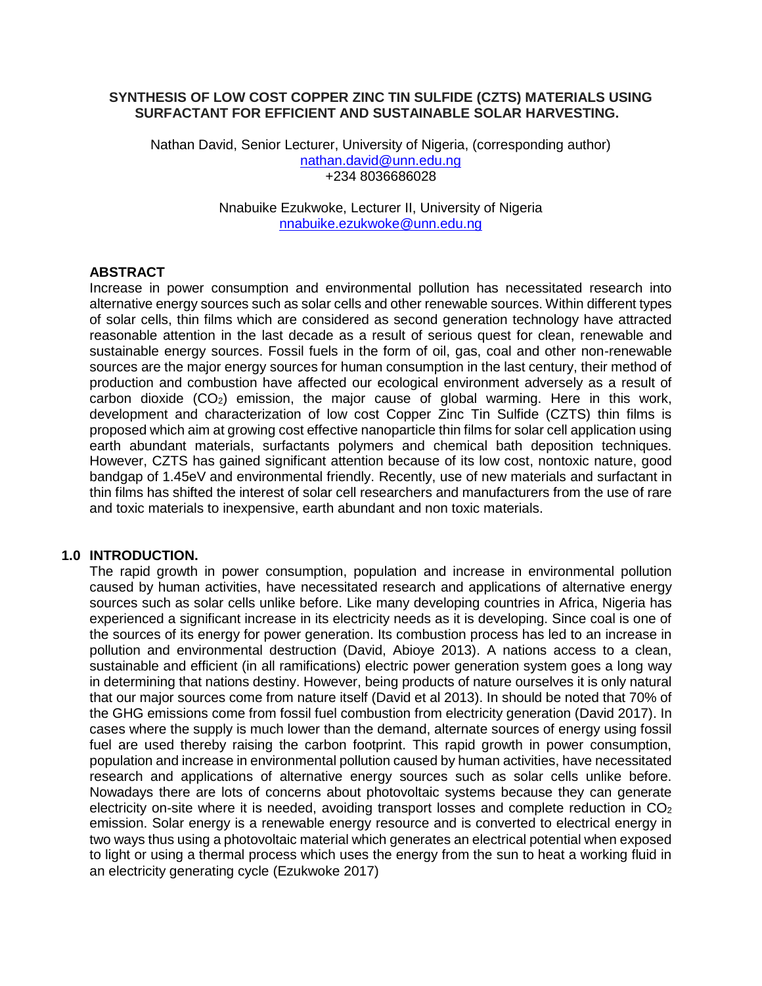## **SYNTHESIS OF LOW COST COPPER ZINC TIN SULFIDE (CZTS) MATERIALS USING SURFACTANT FOR EFFICIENT AND SUSTAINABLE SOLAR HARVESTING.**

Nathan David, Senior Lecturer, University of Nigeria, (corresponding author) nathan.david@unn.edu.ng +234 8036686028

> Nnabuike Ezukwoke, Lecturer II, University of Nigeria nnabuike.ezukwoke@unn.edu.ng

#### **ABSTRACT**

Increase in power consumption and environmental pollution has necessitated research into alternative energy sources such as solar cells and other renewable sources. Within different types of solar cells, thin films which are considered as second generation technology have attracted reasonable attention in the last decade as a result of serious quest for clean, renewable and sustainable energy sources. Fossil fuels in the form of oil, gas, coal and other non-renewable sources are the major energy sources for human consumption in the last century, their method of production and combustion have affected our ecological environment adversely as a result of carbon dioxide  $(CO_2)$  emission, the major cause of global warming. Here in this work, development and characterization of low cost Copper Zinc Tin Sulfide (CZTS) thin films is proposed which aim at growing cost effective nanoparticle thin films for solar cell application using earth abundant materials, surfactants polymers and chemical bath deposition techniques. However, CZTS has gained significant attention because of its low cost, nontoxic nature, good bandgap of 1.45eV and environmental friendly. Recently, use of new materials and surfactant in thin films has shifted the interest of solar cell researchers and manufacturers from the use of rare and toxic materials to inexpensive, earth abundant and non toxic materials.

#### **1.0 INTRODUCTION.**

The rapid growth in power consumption, population and increase in environmental pollution caused by human activities, have necessitated research and applications of alternative energy sources such as solar cells unlike before. Like many developing countries in Africa, Nigeria has experienced a significant increase in its electricity needs as it is developing. Since coal is one of the sources of its energy for power generation. Its combustion process has led to an increase in pollution and environmental destruction (David, Abioye 2013). A nations access to a clean, sustainable and efficient (in all ramifications) electric power generation system goes a long way in determining that nations destiny. However, being products of nature ourselves it is only natural that our major sources come from nature itself (David et al 2013). In should be noted that 70% of the GHG emissions come from fossil fuel combustion from electricity generation (David 2017). In cases where the supply is much lower than the demand, alternate sources of energy using fossil fuel are used thereby raising the carbon footprint. This rapid growth in power consumption, population and increase in environmental pollution caused by human activities, have necessitated research and applications of alternative energy sources such as solar cells unlike before. Nowadays there are lots of concerns about photovoltaic systems because they can generate electricity on-site where it is needed, avoiding transport losses and complete reduction in  $CO<sub>2</sub>$ emission. Solar energy is a renewable energy resource and is converted to electrical energy in two ways thus using a photovoltaic material which generates an electrical potential when exposed to light or using a thermal process which uses the energy from the sun to heat a working fluid in an electricity generating cycle (Ezukwoke 2017)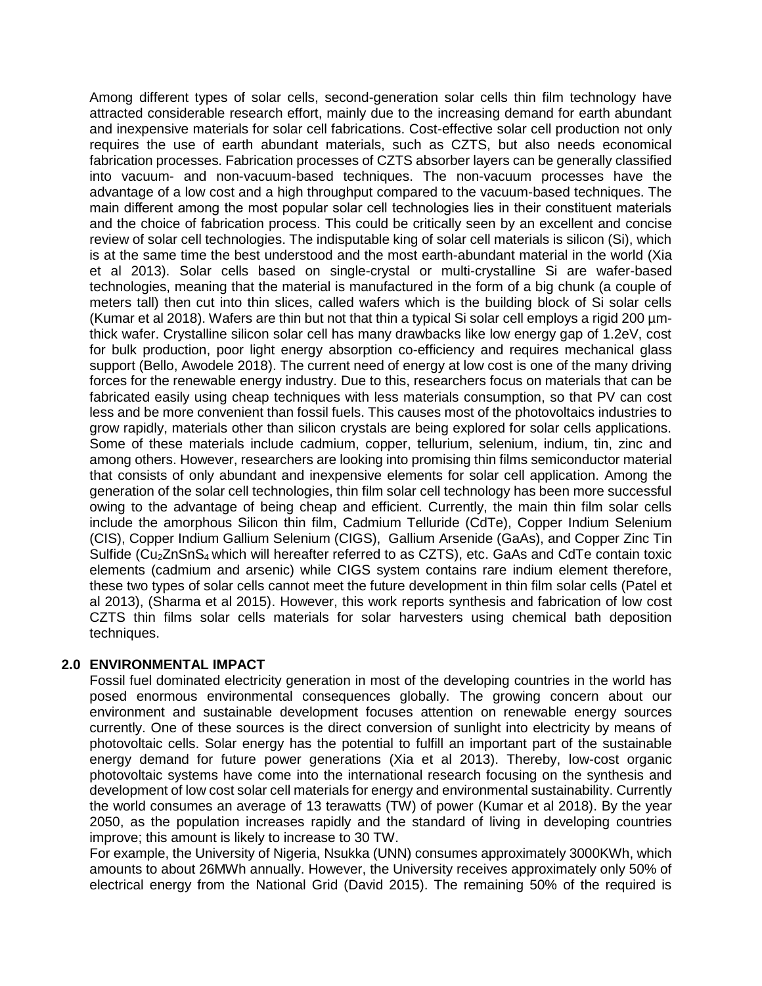Among different types of solar cells, second-generation solar cells thin film technology have attracted considerable research effort, mainly due to the increasing demand for earth abundant and inexpensive materials for solar cell fabrications. Cost-effective solar cell production not only requires the use of earth abundant materials, such as CZTS, but also needs economical fabrication processes. Fabrication processes of CZTS absorber layers can be generally classified into vacuum- and non-vacuum-based techniques. The non-vacuum processes have the advantage of a low cost and a high throughput compared to the vacuum-based techniques. The main different among the most popular solar cell technologies lies in their constituent materials and the choice of fabrication process. This could be critically seen by an excellent and concise review of solar cell technologies. The indisputable king of solar cell materials is silicon (Si), which is at the same time the best understood and the most earth-abundant material in the world (Xia et al 2013). Solar cells based on single-crystal or multi-crystalline Si are wafer-based technologies, meaning that the material is manufactured in the form of a big chunk (a couple of meters tall) then cut into thin slices, called wafers which is the building block of Si solar cells (Kumar et al 2018). Wafers are thin but not that thin a typical Si solar cell employs a rigid 200 µmthick wafer. Crystalline silicon solar cell has many drawbacks like low energy gap of 1.2eV, cost for bulk production, poor light energy absorption co-efficiency and requires mechanical glass support (Bello, Awodele 2018). The current need of energy at low cost is one of the many driving forces for the renewable energy industry. Due to this, researchers focus on materials that can be fabricated easily using cheap techniques with less materials consumption, so that PV can cost less and be more convenient than fossil fuels. This causes most of the photovoltaics industries to grow rapidly, materials other than silicon crystals are being explored for solar cells applications. Some of these materials include cadmium, copper, tellurium, selenium, indium, tin, zinc and among others. However, researchers are looking into promising thin films semiconductor material that consists of only abundant and inexpensive elements for solar cell application. Among the generation of the solar cell technologies, thin film solar cell technology has been more successful owing to the advantage of being cheap and efficient. Currently, the main thin film solar cells include the amorphous Silicon thin film, Cadmium Telluride (CdTe), Copper Indium Selenium (CIS), Copper Indium Gallium Selenium (CIGS), Gallium Arsenide (GaAs), and Copper Zinc Tin Sulfide (Cu<sub>2</sub>ZnSnS<sub>4</sub> which will hereafter referred to as CZTS), etc. GaAs and CdTe contain toxic elements (cadmium and arsenic) while CIGS system contains rare indium element therefore, these two types of solar cells cannot meet the future development in thin film solar cells (Patel et al 2013), (Sharma et al 2015). However, this work reports synthesis and fabrication of low cost CZTS thin films solar cells materials for solar harvesters using chemical bath deposition techniques.

# **2.0 ENVIRONMENTAL IMPACT**

Fossil fuel dominated electricity generation in most of the developing countries in the world has posed enormous environmental consequences globally. The growing concern about our environment and sustainable development focuses attention on renewable energy sources currently. One of these sources is the direct conversion of sunlight into electricity by means of photovoltaic cells. Solar energy has the potential to fulfill an important part of the sustainable energy demand for future power generations (Xia et al 2013). Thereby, low-cost organic photovoltaic systems have come into the international research focusing on the synthesis and development of low cost solar cell materials for energy and environmental sustainability. Currently the world consumes an average of 13 terawatts (TW) of power (Kumar et al 2018). By the year 2050, as the population increases rapidly and the standard of living in developing countries improve; this amount is likely to increase to 30 TW.

For example, the University of Nigeria, Nsukka (UNN) consumes approximately 3000KWh, which amounts to about 26MWh annually. However, the University receives approximately only 50% of electrical energy from the National Grid (David 2015). The remaining 50% of the required is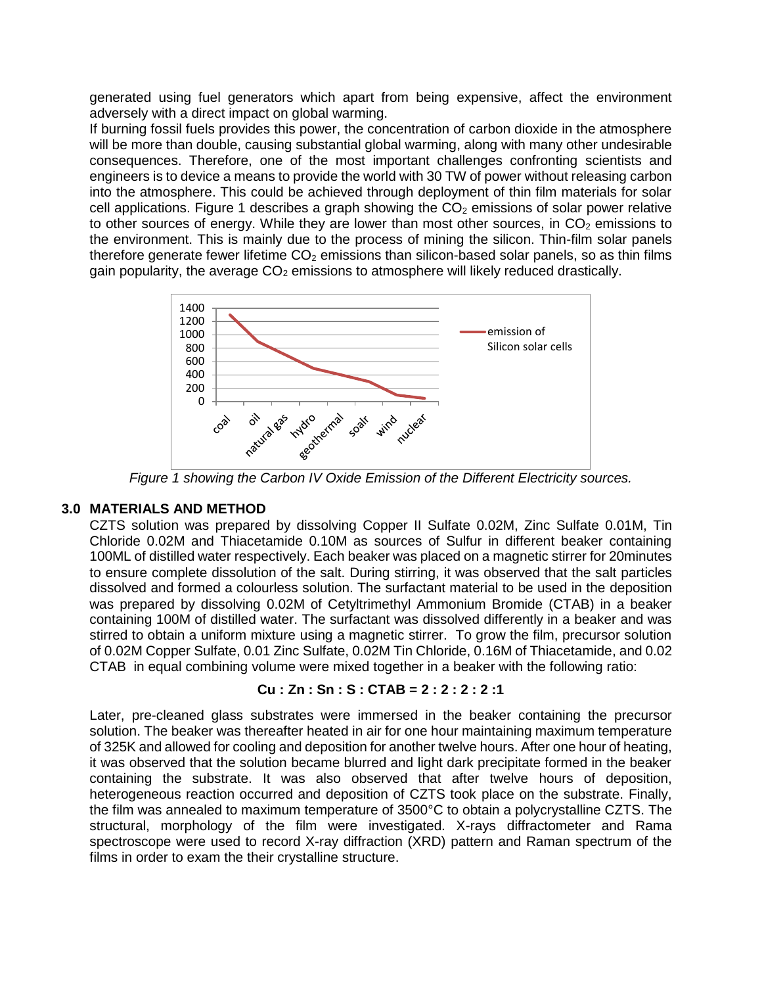generated using fuel generators which apart from being expensive, affect the environment adversely with a direct impact on global warming.

If burning fossil fuels provides this power, the concentration of carbon dioxide in the atmosphere will be more than double, causing substantial global warming, along with many other undesirable consequences. Therefore, one of the most important challenges confronting scientists and engineers is to device a means to provide the world with 30 TW of power without releasing carbon into the atmosphere. This could be achieved through deployment of thin film materials for solar cell applications. Figure 1 describes a graph showing the  $CO<sub>2</sub>$  emissions of solar power relative to other sources of energy. While they are lower than most other sources, in  $CO<sub>2</sub>$  emissions to the environment. This is mainly due to the process of mining the silicon. Thin-film solar panels therefore generate fewer lifetime  $CO<sub>2</sub>$  emissions than silicon-based solar panels, so as thin films gain popularity, the average  $CO<sub>2</sub>$  emissions to atmosphere will likely reduced drastically.



*Figure 1 showing the Carbon IV Oxide Emission of the Different Electricity sources.*

# **3.0 MATERIALS AND METHOD**

CZTS solution was prepared by dissolving Copper II Sulfate 0.02M, Zinc Sulfate 0.01M, Tin Chloride 0.02M and Thiacetamide 0.10M as sources of Sulfur in different beaker containing 100ML of distilled water respectively. Each beaker was placed on a magnetic stirrer for 20minutes to ensure complete dissolution of the salt. During stirring, it was observed that the salt particles dissolved and formed a colourless solution. The surfactant material to be used in the deposition was prepared by dissolving 0.02M of Cetyltrimethyl Ammonium Bromide (CTAB) in a beaker containing 100M of distilled water. The surfactant was dissolved differently in a beaker and was stirred to obtain a uniform mixture using a magnetic stirrer. To grow the film, precursor solution of 0.02M Copper Sulfate, 0.01 Zinc Sulfate, 0.02M Tin Chloride, 0.16M of Thiacetamide, and 0.02 CTAB in equal combining volume were mixed together in a beaker with the following ratio:

#### **Cu : Zn : Sn : S : CTAB = 2 : 2 : 2 : 2 :1**

Later, pre-cleaned glass substrates were immersed in the beaker containing the precursor solution. The beaker was thereafter heated in air for one hour maintaining maximum temperature of 325K and allowed for cooling and deposition for another twelve hours. After one hour of heating, it was observed that the solution became blurred and light dark precipitate formed in the beaker containing the substrate. It was also observed that after twelve hours of deposition, heterogeneous reaction occurred and deposition of CZTS took place on the substrate. Finally, the film was annealed to maximum temperature of 3500°C to obtain a polycrystalline CZTS. The structural, morphology of the film were investigated. X-rays diffractometer and Rama spectroscope were used to record X-ray diffraction (XRD) pattern and Raman spectrum of the films in order to exam the their crystalline structure.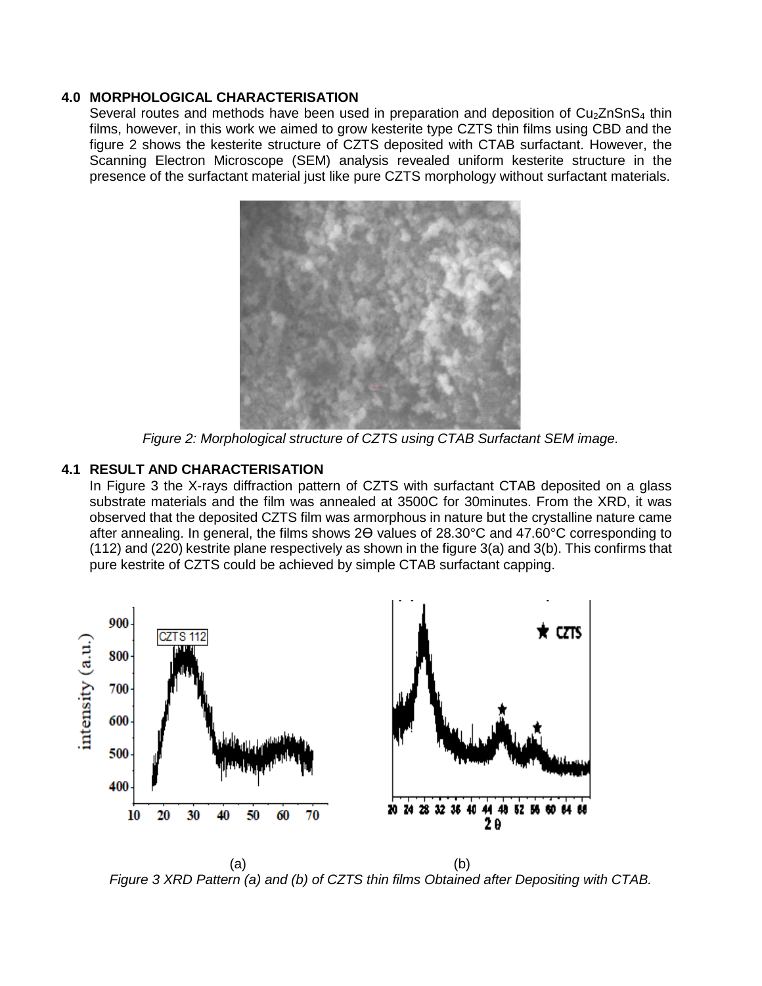## **4.0 MORPHOLOGICAL CHARACTERISATION**

Several routes and methods have been used in preparation and deposition of  $Cu<sub>2</sub>ZnSnS<sub>4</sub>$  thin films, however, in this work we aimed to grow kesterite type CZTS thin films using CBD and the figure 2 shows the kesterite structure of CZTS deposited with CTAB surfactant. However, the Scanning Electron Microscope (SEM) analysis revealed uniform kesterite structure in the presence of the surfactant material just like pure CZTS morphology without surfactant materials.



*Figure 2: Morphological structure of CZTS using CTAB Surfactant SEM image.*

# **4.1 RESULT AND CHARACTERISATION**

In Figure 3 the X-rays diffraction pattern of CZTS with surfactant CTAB deposited on a glass substrate materials and the film was annealed at 3500C for 30minutes. From the XRD, it was observed that the deposited CZTS film was armorphous in nature but the crystalline nature came after annealing. In general, the films shows 2ϴ values of 28.30°C and 47.60°C corresponding to (112) and (220) kestrite plane respectively as shown in the figure 3(a) and 3(b). This confirms that pure kestrite of CZTS could be achieved by simple CTAB surfactant capping.



 $(a)$  (b) *Figure 3 XRD Pattern (a) and (b) of CZTS thin films Obtained after Depositing with CTAB.*